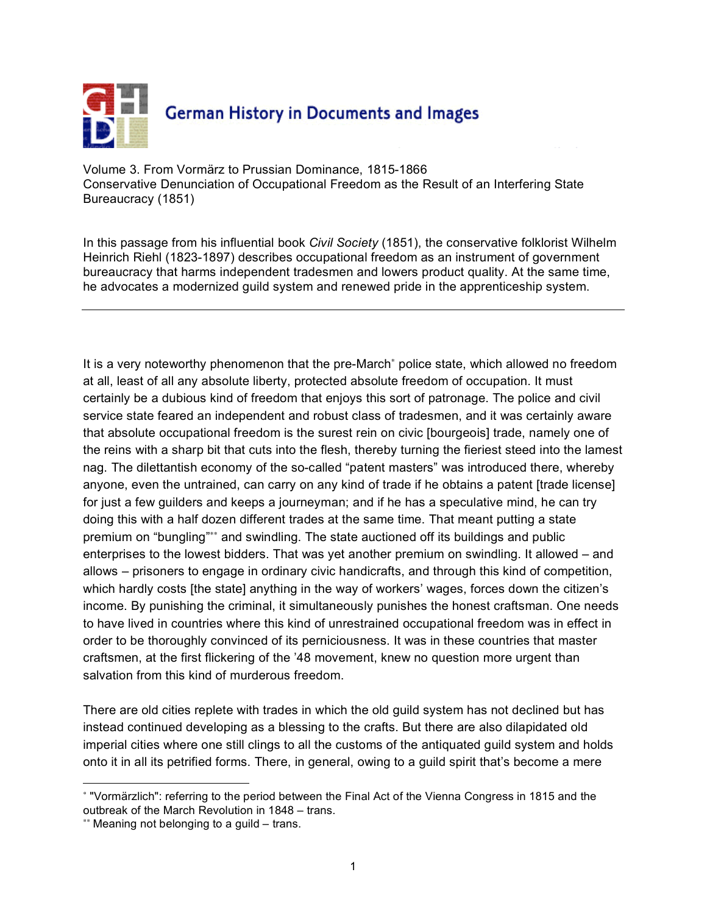

Volume 3. From Vormärz to Prussian Dominance, 1815-1866 Conservative Denunciation of Occupational Freedom as the Result of an Interfering State Bureaucracy (1851)

In this passage from his influential book *Civil Society* (1851), the conservative folklorist Wilhelm Heinrich Riehl (1823-1897) describes occupational freedom as an instrument of government bureaucracy that harms independent tradesmen and lowers product quality. At the same time, he advocates a modernized guild system and renewed pride in the apprenticeship system.

It is a very noteworthy phenomenon that the pre-March<sup>∗</sup> police state, which allowed no freedom at all, least of all any absolute liberty, protected absolute freedom of occupation. It must certainly be a dubious kind of freedom that enjoys this sort of patronage. The police and civil service state feared an independent and robust class of tradesmen, and it was certainly aware that absolute occupational freedom is the surest rein on civic [bourgeois] trade, namely one of the reins with a sharp bit that cuts into the flesh, thereby turning the fieriest steed into the lamest nag. The dilettantish economy of the so-called "patent masters" was introduced there, whereby anyone, even the untrained, can carry on any kind of trade if he obtains a patent [trade license] for just a few guilders and keeps a journeyman; and if he has a speculative mind, he can try doing this with a half dozen different trades at the same time. That meant putting a state premium on "bungling"\*\* and swindling. The state auctioned off its buildings and public enterprises to the lowest bidders. That was yet another premium on swindling. It allowed – and allows – prisoners to engage in ordinary civic handicrafts, and through this kind of competition, which hardly costs [the state] anything in the way of workers' wages, forces down the citizen's income. By punishing the criminal, it simultaneously punishes the honest craftsman. One needs to have lived in countries where this kind of unrestrained occupational freedom was in effect in order to be thoroughly convinced of its perniciousness. It was in these countries that master craftsmen, at the first flickering of the '48 movement, knew no question more urgent than salvation from this kind of murderous freedom.

There are old cities replete with trades in which the old guild system has not declined but has instead continued developing as a blessing to the crafts. But there are also dilapidated old imperial cities where one still clings to all the customs of the antiquated guild system and holds onto it in all its petrified forms. There, in general, owing to a guild spirit that's become a mere

 $\overline{a}$ ∗ "Vormärzlich": referring to the period between the Final Act of the Vienna Congress in 1815 and the outbreak of the March Revolution in 1848 – trans.

<sup>∗∗</sup> Meaning not belonging to a guild – trans.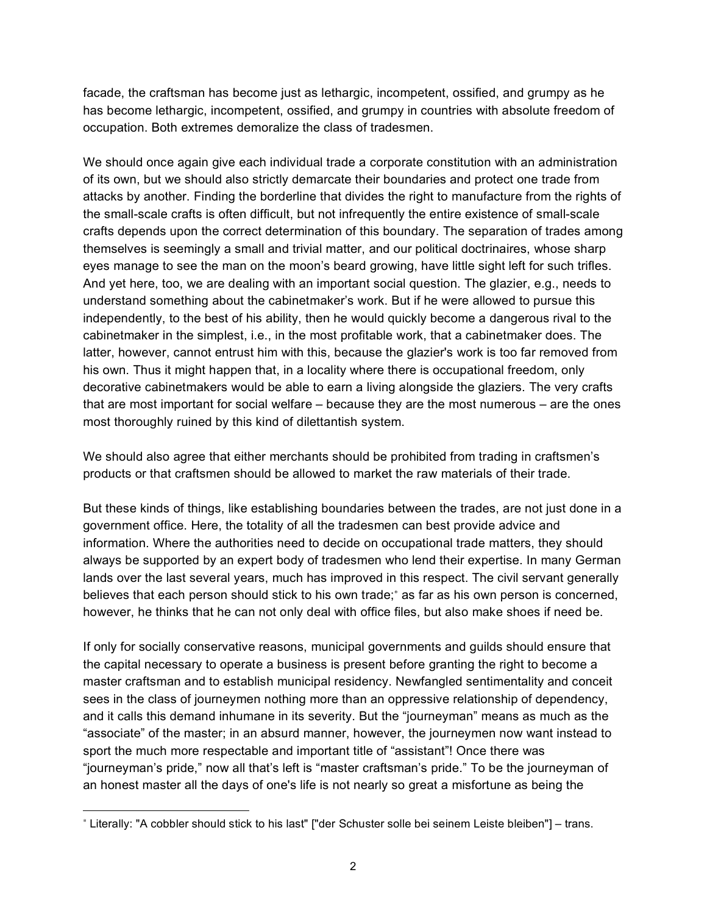facade, the craftsman has become just as lethargic, incompetent, ossified, and grumpy as he has become lethargic, incompetent, ossified, and grumpy in countries with absolute freedom of occupation. Both extremes demoralize the class of tradesmen.

We should once again give each individual trade a corporate constitution with an administration of its own, but we should also strictly demarcate their boundaries and protect one trade from attacks by another. Finding the borderline that divides the right to manufacture from the rights of the small-scale crafts is often difficult, but not infrequently the entire existence of small-scale crafts depends upon the correct determination of this boundary. The separation of trades among themselves is seemingly a small and trivial matter, and our political doctrinaires, whose sharp eyes manage to see the man on the moon's beard growing, have little sight left for such trifles. And yet here, too, we are dealing with an important social question. The glazier, e.g., needs to understand something about the cabinetmaker's work. But if he were allowed to pursue this independently, to the best of his ability, then he would quickly become a dangerous rival to the cabinetmaker in the simplest, i.e., in the most profitable work, that a cabinetmaker does. The latter, however, cannot entrust him with this, because the glazier's work is too far removed from his own. Thus it might happen that, in a locality where there is occupational freedom, only decorative cabinetmakers would be able to earn a living alongside the glaziers. The very crafts that are most important for social welfare – because they are the most numerous – are the ones most thoroughly ruined by this kind of dilettantish system.

We should also agree that either merchants should be prohibited from trading in craftsmen's products or that craftsmen should be allowed to market the raw materials of their trade.

But these kinds of things, like establishing boundaries between the trades, are not just done in a government office. Here, the totality of all the tradesmen can best provide advice and information. Where the authorities need to decide on occupational trade matters, they should always be supported by an expert body of tradesmen who lend their expertise. In many German lands over the last several years, much has improved in this respect. The civil servant generally believes that each person should stick to his own trade;<sup>\*</sup> as far as his own person is concerned, however, he thinks that he can not only deal with office files, but also make shoes if need be.

If only for socially conservative reasons, municipal governments and guilds should ensure that the capital necessary to operate a business is present before granting the right to become a master craftsman and to establish municipal residency. Newfangled sentimentality and conceit sees in the class of journeymen nothing more than an oppressive relationship of dependency, and it calls this demand inhumane in its severity. But the "journeyman" means as much as the "associate" of the master; in an absurd manner, however, the journeymen now want instead to sport the much more respectable and important title of "assistant"! Once there was "journeyman's pride," now all that's left is "master craftsman's pride." To be the journeyman of an honest master all the days of one's life is not nearly so great a misfortune as being the

 $\overline{a}$ ∗ Literally: "A cobbler should stick to his last" ["der Schuster solle bei seinem Leiste bleiben"] – trans.